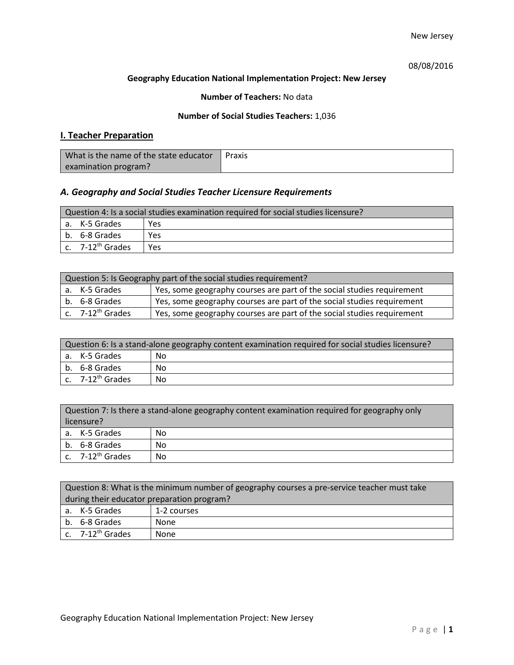# 08/08/2016

## **Geography Education National Implementation Project: New Jersey**

## **Number of Teachers:** No data

## **Number of Social Studies Teachers:** 1,036

# **I. Teacher Preparation**

| What is the name of the state educator | Praxis |
|----------------------------------------|--------|
| examination program?                   |        |

# *A. Geography and Social Studies Teacher Licensure Requirements*

| Question 4: Is a social studies examination required for social studies licensure? |                       |            |
|------------------------------------------------------------------------------------|-----------------------|------------|
|                                                                                    | a. K-5 Grades         | <b>Yes</b> |
|                                                                                    | b. 6-8 Grades         | Yes        |
|                                                                                    | c. $7-12^{th}$ Grades | <b>Yes</b> |

| Question 5: Is Geography part of the social studies requirement? |                                         |                                                                        |
|------------------------------------------------------------------|-----------------------------------------|------------------------------------------------------------------------|
|                                                                  | a. K-5 Grades                           | Yes, some geography courses are part of the social studies requirement |
|                                                                  | b. 6-8 Grades                           | Yes, some geography courses are part of the social studies requirement |
|                                                                  | $\mathsf{c.}$ 7-12 <sup>th</sup> Grades | Yes, some geography courses are part of the social studies requirement |

| Question 6: Is a stand-alone geography content examination required for social studies licensure? |                       |    |
|---------------------------------------------------------------------------------------------------|-----------------------|----|
|                                                                                                   | a. K-5 Grades         | No |
|                                                                                                   | b. 6-8 Grades         | Nο |
|                                                                                                   | c. $7-12^{th}$ Grades | No |

| Question 7: Is there a stand-alone geography content examination required for geography only<br>licensure? |    |  |
|------------------------------------------------------------------------------------------------------------|----|--|
|                                                                                                            |    |  |
| a. K-5 Grades                                                                                              | No |  |
| b. 6-8 Grades                                                                                              | No |  |
| c. $7-12^{th}$ Grades                                                                                      | No |  |

| Question 8: What is the minimum number of geography courses a pre-service teacher must take |                                      |             |
|---------------------------------------------------------------------------------------------|--------------------------------------|-------------|
| during their educator preparation program?                                                  |                                      |             |
|                                                                                             | a. K-5 Grades                        | 1-2 courses |
|                                                                                             | b. 6-8 Grades                        | None        |
|                                                                                             | $\vert$ c. 7-12 <sup>th</sup> Grades | None        |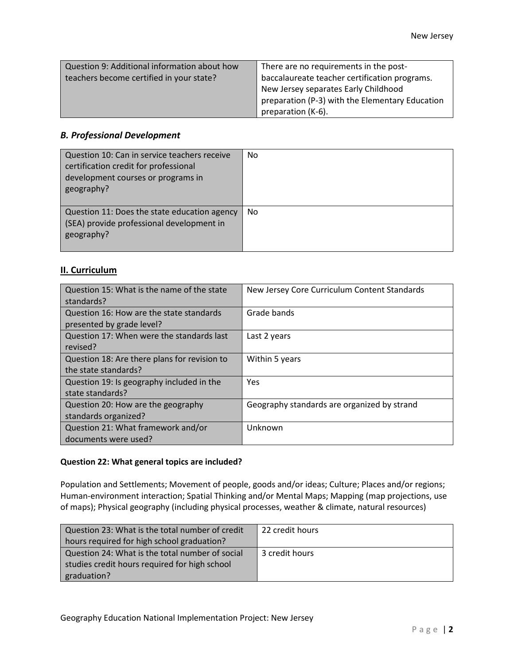| Question 9: Additional information about how | There are no requirements in the post-          |
|----------------------------------------------|-------------------------------------------------|
| teachers become certified in your state?     | baccalaureate teacher certification programs.   |
|                                              | New Jersey separates Early Childhood            |
|                                              | preparation (P-3) with the Elementary Education |
|                                              | preparation (K-6).                              |

# *B. Professional Development*

| Question 10: Can in service teachers receive<br>certification credit for professional<br>development courses or programs in<br>geography? | <b>No</b> |
|-------------------------------------------------------------------------------------------------------------------------------------------|-----------|
| Question 11: Does the state education agency<br>(SEA) provide professional development in<br>geography?                                   | <b>No</b> |

# **II. Curriculum**

| Question 15: What is the name of the state   | New Jersey Core Curriculum Content Standards |
|----------------------------------------------|----------------------------------------------|
| standards?                                   |                                              |
| Question 16: How are the state standards     | Grade bands                                  |
| presented by grade level?                    |                                              |
| Question 17: When were the standards last    | Last 2 years                                 |
| revised?                                     |                                              |
| Question 18: Are there plans for revision to | Within 5 years                               |
| the state standards?                         |                                              |
| Question 19: Is geography included in the    | <b>Yes</b>                                   |
| state standards?                             |                                              |
| Question 20: How are the geography           | Geography standards are organized by strand  |
| standards organized?                         |                                              |
| Question 21: What framework and/or           | Unknown                                      |
| documents were used?                         |                                              |

#### **Question 22: What general topics are included?**

Population and Settlements; Movement of people, goods and/or ideas; Culture; Places and/or regions; Human-environment interaction; Spatial Thinking and/or Mental Maps; Mapping (map projections, use of maps); Physical geography (including physical processes, weather & climate, natural resources)

| Question 23: What is the total number of credit | 22 credit hours |
|-------------------------------------------------|-----------------|
| hours required for high school graduation?      |                 |
| Question 24: What is the total number of social | 3 credit hours  |
| studies credit hours required for high school   |                 |
| graduation?                                     |                 |